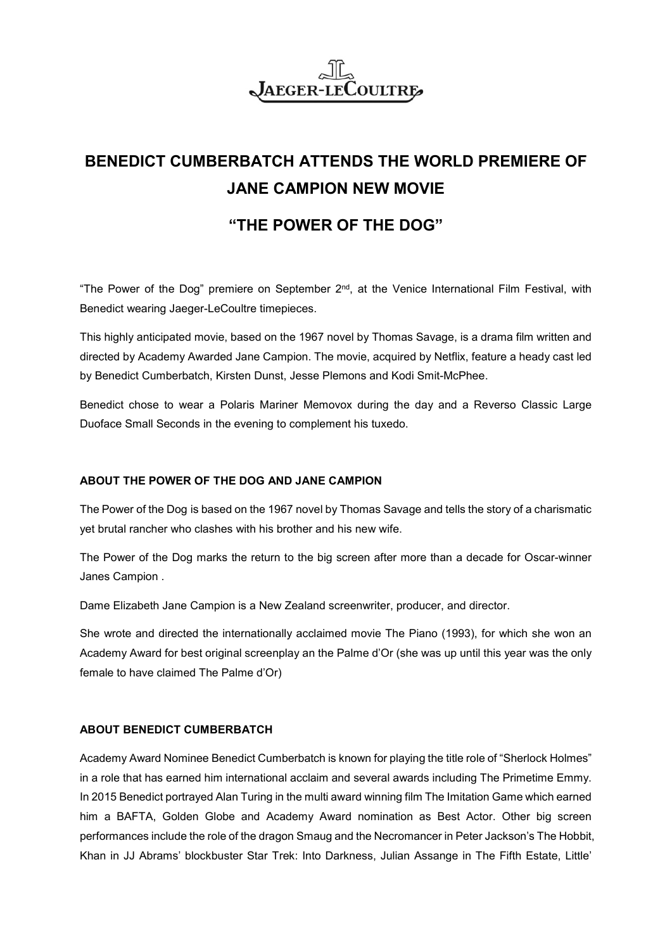# **JAEGER-LECOULTRE**

## **BENEDICT CUMBERBATCH ATTENDS THE WORLD PREMIERE OF JANE CAMPION NEW MOVIE**

### **"THE POWER OF THE DOG"**

"The Power of the Dog" premiere on September 2nd, at the Venice International Film Festival, with Benedict wearing Jaeger-LeCoultre timepieces.

This highly anticipated movie, based on the 1967 novel by Thomas Savage, is a drama film written and directed by Academy Awarded Jane Campion. The movie, acquired by Netflix, feature a heady cast led by Benedict Cumberbatch, [Kirsten Dunst,](https://en.wikipedia.org/wiki/Kirsten_Dunst) [Jesse Plemons](https://en.wikipedia.org/wiki/Jesse_Plemons) and [Kodi Smit-McPhee.](https://en.wikipedia.org/wiki/Kodi_Smit-McPhee)

Benedict chose to wear a Polaris Mariner Memovox during the day and a Reverso Classic Large Duoface Small Seconds in the evening to complement his tuxedo.

#### **ABOUT THE POWER OF THE DOG AND JANE CAMPION**

The Power of the Dog is based on the 1967 novel by Thomas Savage and tells the story of a charismatic yet brutal rancher who clashes with his brother and his new wife.

The Power of the Dog marks the return to the big screen after more than a decade for Oscar-winner Janes Campion .

Dame Elizabeth Jane Campion is a New Zealand screenwriter, producer, and director.

She wrote and directed the internationally acclaimed movie The Piano (1993), for which she won an Academy Award for best original screenplay an the Palme d'Or (she was up until this year was the only female to have claimed The Palme d'Or)

#### **ABOUT BENEDICT CUMBERBATCH**

Academy Award Nominee Benedict Cumberbatch is known for playing the title role of "Sherlock Holmes" in a role that has earned him international acclaim and several awards including The Primetime Emmy. In 2015 Benedict portrayed Alan Turing in the multi award winning film The Imitation Game which earned him a BAFTA, Golden Globe and Academy Award nomination as Best Actor. Other big screen performances include the role of the dragon Smaug and the Necromancer in Peter Jackson's The Hobbit, Khan in JJ Abrams' blockbuster Star Trek: Into Darkness, Julian Assange in The Fifth Estate, Little'